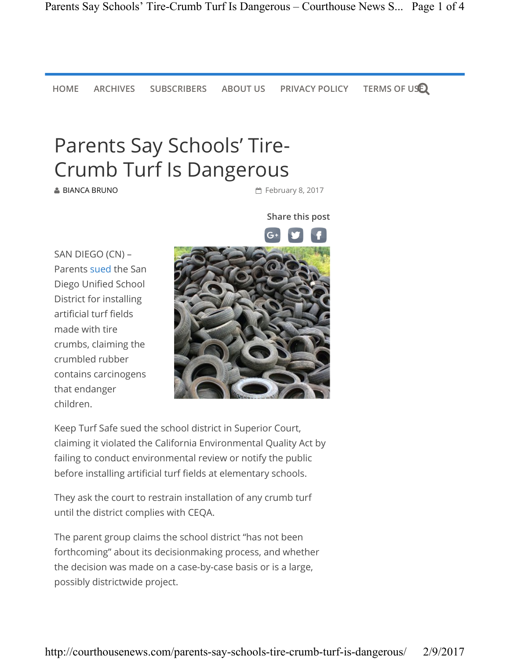HOME ARCHIVES SUBSCRIBERS ABOUT US PRIVACY POLICY TERMS OF USE

## Parents Say Schools' Tire-Crumb Turf Is Dangerous

**BIANCA BRUNO** 

**■ February 8, 2017** 

Share this post

SAN DIEGO (CN) – Parents sued the San Diego Unified School District for installing artificial turf fields made with tire crumbs, claiming the crumbled rubber contains carcinogens that endanger children.



Keep Turf Safe sued the school district in Superior Court, claiming it violated the California Environmental Quality Act by failing to conduct environmental review or notify the public before installing artificial turf fields at elementary schools.

They ask the court to restrain installation of any crumb turf until the district complies with CEQA.

The parent group claims the school district "has not been forthcoming" about its decisionmaking process, and whether the decision was made on a case-by-case basis or is a large, possibly districtwide project.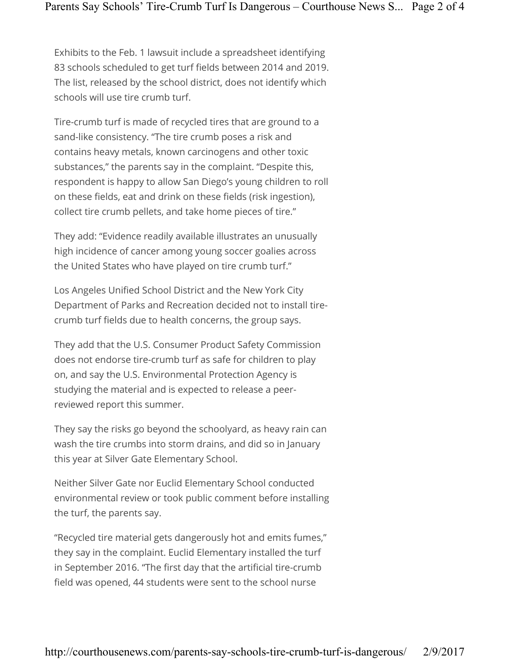Exhibits to the Feb. 1 lawsuit include a spreadsheet identifying 83 schools scheduled to get turf fields between 2014 and 2019. The list, released by the school district, does not identify which schools will use tire crumb turf.

Tire-crumb turf is made of recycled tires that are ground to a sand-like consistency. "The tire crumb poses a risk and contains heavy metals, known carcinogens and other toxic substances," the parents say in the complaint. "Despite this, respondent is happy to allow San Diego's young children to roll on these fields, eat and drink on these fields (risk ingestion), collect tire crumb pellets, and take home pieces of tire."

They add: "Evidence readily available illustrates an unusually high incidence of cancer among young soccer goalies across the United States who have played on tire crumb turf."

Los Angeles Unified School District and the New York City Department of Parks and Recreation decided not to install tirecrumb turf fields due to health concerns, the group says.

They add that the U.S. Consumer Product Safety Commission does not endorse tire-crumb turf as safe for children to play on, and say the U.S. Environmental Protection Agency is studying the material and is expected to release a peerreviewed report this summer.

They say the risks go beyond the schoolyard, as heavy rain can wash the tire crumbs into storm drains, and did so in January this year at Silver Gate Elementary School.

Neither Silver Gate nor Euclid Elementary School conducted environmental review or took public comment before installing the turf, the parents say.

"Recycled tire material gets dangerously hot and emits fumes," they say in the complaint. Euclid Elementary installed the turf in September 2016. "The first day that the artificial tire-crumb field was opened, 44 students were sent to the school nurse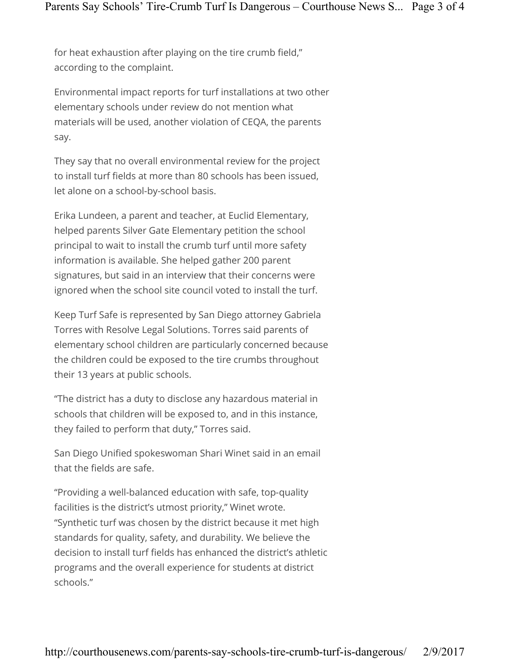for heat exhaustion after playing on the tire crumb field," according to the complaint.

Environmental impact reports for turf installations at two other elementary schools under review do not mention what materials will be used, another violation of CEQA, the parents say.

They say that no overall environmental review for the project to install turf fields at more than 80 schools has been issued, let alone on a school-by-school basis.

Erika Lundeen, a parent and teacher, at Euclid Elementary, helped parents Silver Gate Elementary petition the school principal to wait to install the crumb turf until more safety information is available. She helped gather 200 parent signatures, but said in an interview that their concerns were ignored when the school site council voted to install the turf.

Keep Turf Safe is represented by San Diego attorney Gabriela Torres with Resolve Legal Solutions. Torres said parents of elementary school children are particularly concerned because the children could be exposed to the tire crumbs throughout their 13 years at public schools.

"The district has a duty to disclose any hazardous material in schools that children will be exposed to, and in this instance, they failed to perform that duty," Torres said.

San Diego Unified spokeswoman Shari Winet said in an email that the fields are safe.

"Providing a well-balanced education with safe, top-quality facilities is the district's utmost priority," Winet wrote. "Synthetic turf was chosen by the district because it met high standards for quality, safety, and durability. We believe the decision to install turf fields has enhanced the district's athletic programs and the overall experience for students at district schools."